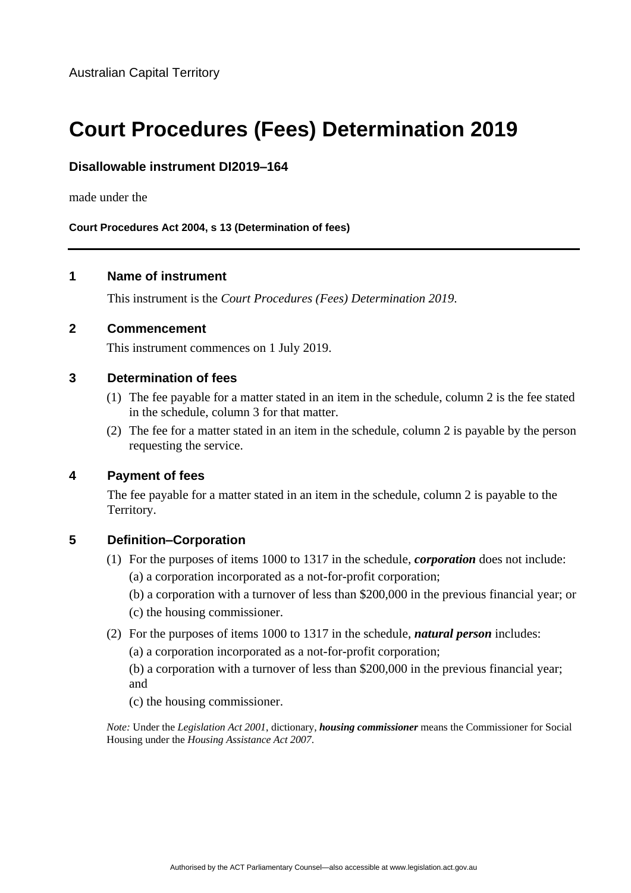Australian Capital Territory

# **Court Procedures (Fees) Determination 2019**

#### **Disallowable instrument DI2019–164**

made under the

**Court Procedures Act 2004, s 13 (Determination of fees)**

#### **1 Name of instrument**

This instrument is the *Court Procedures (Fees) Determination 2019*.

#### **2 Commencement**

This instrument commences on 1 July 2019.

#### **3 Determination of fees**

- (1) The fee payable for a matter stated in an item in the schedule, column 2 is the fee stated in the schedule, column 3 for that matter.
- (2) The fee for a matter stated in an item in the schedule, column 2 is payable by the person requesting the service.

#### **4 Payment of fees**

The fee payable for a matter stated in an item in the schedule, column 2 is payable to the Territory.

#### **5 Definition–Corporation**

- (1) For the purposes of items 1000 to 1317 in the schedule, *corporation* does not include:
	- (a) a corporation incorporated as a not-for-profit corporation;
	- (b) a corporation with a turnover of less than \$200,000 in the previous financial year; or
	- (c) the housing commissioner.
- (2) For the purposes of items 1000 to 1317 in the schedule, *natural person* includes:
	- (a) a corporation incorporated as a not-for-profit corporation;

(b) a corporation with a turnover of less than \$200,000 in the previous financial year; and

(c) the housing commissioner.

*Note:* Under the *Legislation Act 2001*, dictionary, *housing commissioner* means the Commissioner for Social Housing under the *Housing Assistance Act 2007*.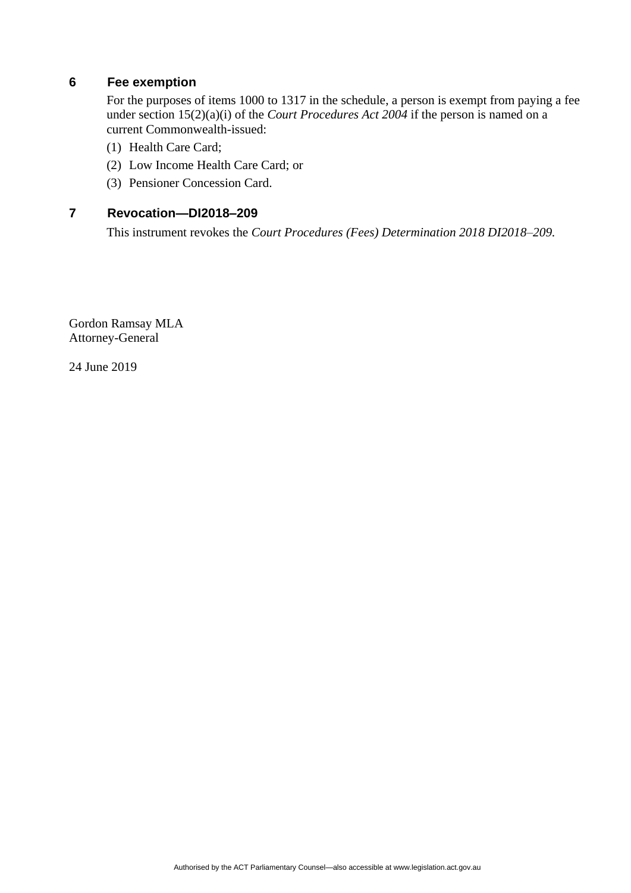### **6 Fee exemption**

For the purposes of items 1000 to 1317 in the schedule, a person is exempt from paying a fee under section 15(2)(a)(i) of the *Court Procedures Act 2004* if the person is named on a current Commonwealth-issued:

- (1) Health Care Card;
- (2) Low Income Health Care Card; or
- (3) Pensioner Concession Card.

#### **7 Revocation—DI2018–209**

This instrument revokes the *Court Procedures (Fees) Determination 2018 DI2018–209.*

Gordon Ramsay MLA Attorney-General

24 June 2019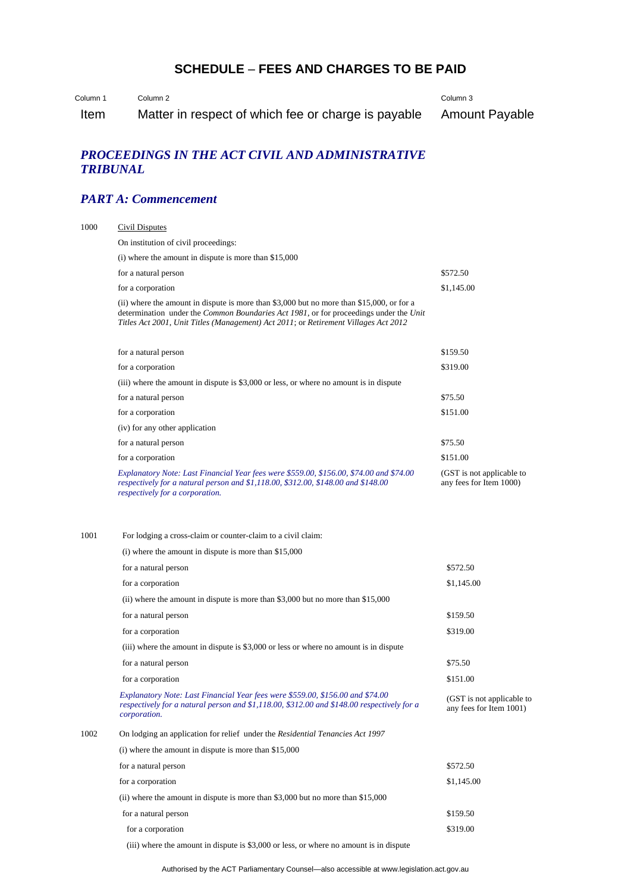# **SCHEDULE** – **FEES AND CHARGES TO BE PAID**

Column 1 Column 2

Column 3

Item Matter in respect of which fee or charge is payable Amount Payable

## *PROCEEDINGS IN THE ACT CIVIL AND ADMINISTRATIVE TRIBUNAL*

# *PART A: Commencement*

| Civil Disputes                                                                                                                                                                                                                                                            |                                                      |
|---------------------------------------------------------------------------------------------------------------------------------------------------------------------------------------------------------------------------------------------------------------------------|------------------------------------------------------|
| On institution of civil proceedings:                                                                                                                                                                                                                                      |                                                      |
| $(i)$ where the amount in dispute is more than \$15,000                                                                                                                                                                                                                   |                                                      |
| for a natural person                                                                                                                                                                                                                                                      | \$572.50                                             |
| for a corporation                                                                                                                                                                                                                                                         | \$1,145.00                                           |
| (ii) where the amount in dispute is more than \$3,000 but no more than \$15,000, or for a<br>determination under the Common Boundaries Act 1981, or for proceedings under the Unit<br>Titles Act 2001, Unit Titles (Management) Act 2011; or Retirement Villages Act 2012 |                                                      |
| for a natural person                                                                                                                                                                                                                                                      | \$159.50                                             |
| for a corporation                                                                                                                                                                                                                                                         | \$319.00                                             |
| (iii) where the amount in dispute is \$3,000 or less, or where no amount is in dispute                                                                                                                                                                                    |                                                      |
| for a natural person                                                                                                                                                                                                                                                      | \$75.50                                              |
| for a corporation                                                                                                                                                                                                                                                         | \$151.00                                             |
| (iv) for any other application                                                                                                                                                                                                                                            |                                                      |
| for a natural person                                                                                                                                                                                                                                                      | \$75.50                                              |
| for a corporation                                                                                                                                                                                                                                                         | \$151.00                                             |
| Explanatory Note: Last Financial Year fees were \$559.00, \$156.00, \$74.00 and \$74.00<br>respectively for a natural person and \$1,118.00, \$312.00, \$148.00 and \$148.00<br>respectively for a corporation.                                                           | (GST is not applicable to<br>any fees for Item 1000) |
| For lodging a cross-claim or counter-claim to a civil claim:<br>$(i)$ where the amount in dispute is more than \$15,000                                                                                                                                                   |                                                      |
| for a natural person                                                                                                                                                                                                                                                      | \$572.50                                             |
|                                                                                                                                                                                                                                                                           |                                                      |
| for a corporation                                                                                                                                                                                                                                                         | \$1,145.00                                           |
| (ii) where the amount in dispute is more than \$3,000 but no more than $$15,000$                                                                                                                                                                                          |                                                      |
| for a natural person                                                                                                                                                                                                                                                      | \$159.50                                             |
| for a corporation                                                                                                                                                                                                                                                         | \$319.00                                             |
| (iii) where the amount in dispute is \$3,000 or less or where no amount is in dispute                                                                                                                                                                                     |                                                      |
| for a natural person                                                                                                                                                                                                                                                      | \$75.50                                              |
| for a corporation                                                                                                                                                                                                                                                         | \$151.00                                             |
| Explanatory Note: Last Financial Year fees were \$559.00, \$156.00 and \$74.00<br>respectively for a natural person and \$1,118.00, \$312.00 and \$148.00 respectively for a<br>corporation.                                                                              | (GST is not applicable to<br>any fees for Item 1001) |
| On lodging an application for relief under the Residential Tenancies Act 1997                                                                                                                                                                                             |                                                      |
| $(i)$ where the amount in dispute is more than \$15,000                                                                                                                                                                                                                   |                                                      |
| for a natural person                                                                                                                                                                                                                                                      | \$572.50                                             |
| for a corporation                                                                                                                                                                                                                                                         | \$1,145.00                                           |
| (ii) where the amount in dispute is more than \$3,000 but no more than $$15,000$                                                                                                                                                                                          |                                                      |
| for a natural person                                                                                                                                                                                                                                                      | \$159.50                                             |
|                                                                                                                                                                                                                                                                           |                                                      |

(iii) where the amount in dispute is \$3,000 or less, or where no amount is in dispute

Authorised by the ACT Parliamentary Counsel—also accessible at www.legislation.act.gov.au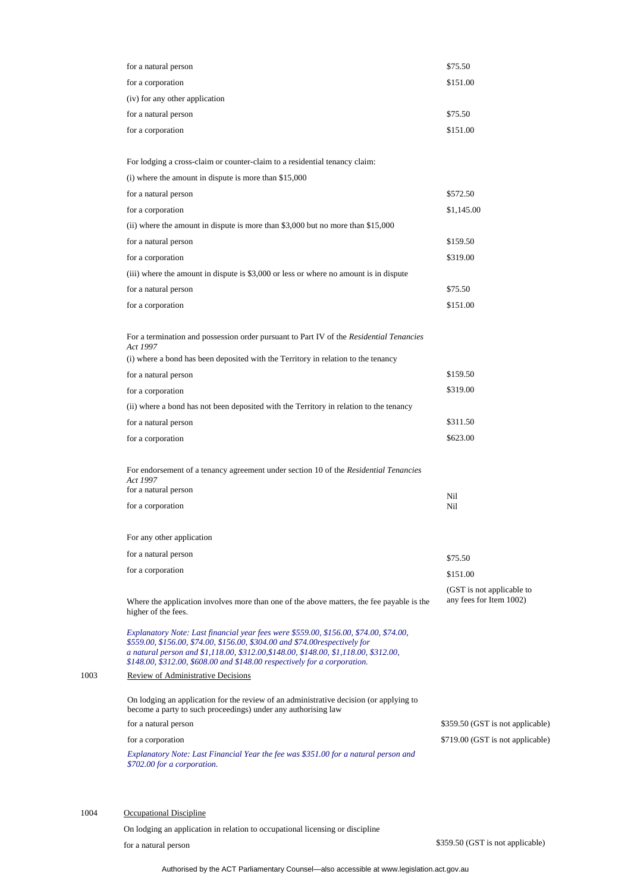| for a natural person                                                                                                                                                                                                                                                                                                                      | \$75.50                                              |
|-------------------------------------------------------------------------------------------------------------------------------------------------------------------------------------------------------------------------------------------------------------------------------------------------------------------------------------------|------------------------------------------------------|
| for a corporation                                                                                                                                                                                                                                                                                                                         | \$151.00                                             |
| (iv) for any other application                                                                                                                                                                                                                                                                                                            |                                                      |
| for a natural person                                                                                                                                                                                                                                                                                                                      | \$75.50                                              |
| for a corporation                                                                                                                                                                                                                                                                                                                         | \$151.00                                             |
|                                                                                                                                                                                                                                                                                                                                           |                                                      |
| For lodging a cross-claim or counter-claim to a residential tenancy claim:                                                                                                                                                                                                                                                                |                                                      |
| $(i)$ where the amount in dispute is more than \$15,000                                                                                                                                                                                                                                                                                   |                                                      |
| for a natural person                                                                                                                                                                                                                                                                                                                      | \$572.50                                             |
| for a corporation                                                                                                                                                                                                                                                                                                                         | \$1,145.00                                           |
| (ii) where the amount in dispute is more than $$3,000$ but no more than $$15,000$                                                                                                                                                                                                                                                         |                                                      |
| for a natural person                                                                                                                                                                                                                                                                                                                      | \$159.50                                             |
| for a corporation                                                                                                                                                                                                                                                                                                                         | \$319.00                                             |
| (iii) where the amount in dispute is \$3,000 or less or where no amount is in dispute                                                                                                                                                                                                                                                     |                                                      |
| for a natural person                                                                                                                                                                                                                                                                                                                      | \$75.50                                              |
| for a corporation                                                                                                                                                                                                                                                                                                                         | \$151.00                                             |
| For a termination and possession order pursuant to Part IV of the Residential Tenancies<br>Act 1997                                                                                                                                                                                                                                       |                                                      |
| (i) where a bond has been deposited with the Territory in relation to the tenancy                                                                                                                                                                                                                                                         |                                                      |
| for a natural person                                                                                                                                                                                                                                                                                                                      | \$159.50                                             |
| for a corporation                                                                                                                                                                                                                                                                                                                         | \$319.00                                             |
| (ii) where a bond has not been deposited with the Territory in relation to the tenancy                                                                                                                                                                                                                                                    |                                                      |
| for a natural person                                                                                                                                                                                                                                                                                                                      | \$311.50                                             |
| for a corporation                                                                                                                                                                                                                                                                                                                         | \$623.00                                             |
| For endorsement of a tenancy agreement under section 10 of the Residential Tenancies<br>Act 1997<br>for a natural person                                                                                                                                                                                                                  |                                                      |
| for a corporation                                                                                                                                                                                                                                                                                                                         | Nil<br>Nil                                           |
|                                                                                                                                                                                                                                                                                                                                           |                                                      |
| For any other application                                                                                                                                                                                                                                                                                                                 |                                                      |
| for a natural person                                                                                                                                                                                                                                                                                                                      | \$75.50                                              |
| for a corporation                                                                                                                                                                                                                                                                                                                         | \$151.00                                             |
| Where the application involves more than one of the above matters, the fee payable is the<br>higher of the fees.                                                                                                                                                                                                                          | (GST is not applicable to<br>any fees for Item 1002) |
| Explanatory Note: Last financial year fees were \$559.00, \$156.00, \$74.00, \$74.00,<br>\$559.00, \$156.00, \$74.00, \$156.00, \$304.00 and \$74.00respectively for<br>a natural person and \$1,118.00, \$312.00, \$148.00, \$148.00, \$1,118.00, \$312.00,<br>\$148.00, \$312.00, \$608.00 and \$148.00 respectively for a corporation. |                                                      |
| <b>Review of Administrative Decisions</b>                                                                                                                                                                                                                                                                                                 |                                                      |
| On lodging an application for the review of an administrative decision (or applying to<br>become a party to such proceedings) under any authorising law                                                                                                                                                                                   |                                                      |
| for a natural person                                                                                                                                                                                                                                                                                                                      | \$359.50 (GST is not applicable)                     |
| for a corporation                                                                                                                                                                                                                                                                                                                         | \$719.00 (GST is not applicable)                     |
| Explanatory Note: Last Financial Year the fee was \$351.00 for a natural person and<br>\$702.00 for a corporation.                                                                                                                                                                                                                        |                                                      |
|                                                                                                                                                                                                                                                                                                                                           |                                                      |

1004 Occupational Discipline

 $1003$ 

On lodging an application in relation to occupational licensing or discipline for a natural person \$359.50 (GST is not applicable)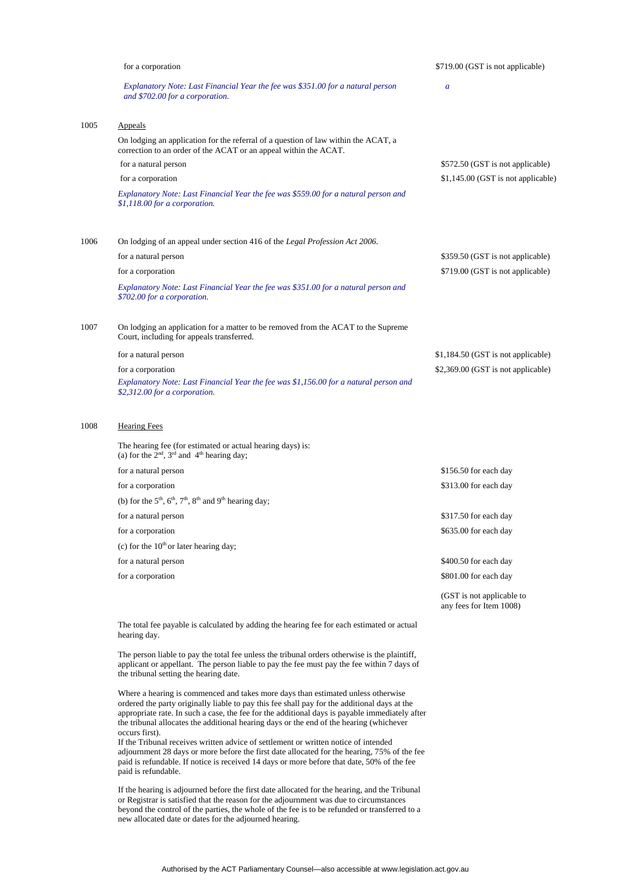|      | for a corporation                                                                                                                                      | \$719.00 (GST is not applicable)   |
|------|--------------------------------------------------------------------------------------------------------------------------------------------------------|------------------------------------|
|      | Explanatory Note: Last Financial Year the fee was \$351.00 for a natural person<br>and \$702.00 for a corporation.                                     | $\overline{a}$                     |
| 1005 | Appeals                                                                                                                                                |                                    |
|      | On lodging an application for the referral of a question of law within the ACAT, a<br>correction to an order of the ACAT or an appeal within the ACAT. |                                    |
|      | for a natural person                                                                                                                                   | \$572.50 (GST is not applicable)   |
|      | for a corporation                                                                                                                                      | \$1,145.00 (GST is not applicable) |
|      | Explanatory Note: Last Financial Year the fee was \$559.00 for a natural person and<br>\$1,118.00 for a corporation.                                   |                                    |
| 1006 | On lodging of an appeal under section 416 of the Legal Profession Act 2006.                                                                            |                                    |
|      | for a natural person                                                                                                                                   | \$359.50 (GST is not applicable)   |
|      | for a corporation                                                                                                                                      | \$719.00 (GST is not applicable)   |
|      | Explanatory Note: Last Financial Year the fee was \$351.00 for a natural person and<br>\$702.00 for a corporation.                                     |                                    |
| 1007 | On lodging an application for a matter to be removed from the ACAT to the Supreme<br>Court, including for appeals transferred.                         |                                    |
|      | for a natural person                                                                                                                                   | \$1,184.50 (GST is not applicable) |
|      | for a corporation                                                                                                                                      | \$2,369.00 (GST is not applicable) |
|      | Explanatory Note: Last Financial Year the fee was \$1,156.00 for a natural person and<br>\$2,312.00 for a corporation.                                 |                                    |
| 1008 | <b>Hearing Fees</b>                                                                                                                                    |                                    |
|      | The hearing fee (for estimated or actual hearing days) is:<br>(a) for the $2^{nd}$ , $3^{rd}$ and $4^{th}$ hearing day;                                |                                    |
|      | for a natural person                                                                                                                                   | \$156.50 for each day              |
|      | for a corporation                                                                                                                                      | \$313.00 for each day              |
|      | (b) for the $5th$ , $6th$ , $7th$ , $8th$ and $9th$ hearing day;                                                                                       |                                    |
|      | for a natural person                                                                                                                                   | \$317.50 for each day              |

for a corporation  $$635.00$  for each day

(c) for the  $10<sup>th</sup>$  or later hearing day;

for a natural person \$400.50 for each day

for a corporation  $$801.00$  for each day

The total fee payable is calculated by adding the hearing fee for each estimated or actual hearing day.

(GST is not applicable to any fees for Item 1008)

The person liable to pay the total fee unless the tribunal orders otherwise is the plaintiff, applicant or appellant. The person liable to pay the fee must pay the fee within 7 days of the tribunal setting the hearing date.

Where a hearing is commenced and takes more days than estimated unless otherwise ordered the party originally liable to pay this fee shall pay for the additional days at the appropriate rate. In such a case, the fee for the additional days is payable immediately after the tribunal allocates the additional hearing days or the end of the hearing (whichever occurs first).

If the Tribunal receives written advice of settlement or written notice of intended adjournment 28 days or more before the first date allocated for the hearing, 75% of the fee paid is refundable. If notice is received 14 days or more before that date, 50% of the fee paid is refundable.

If the hearing is adjourned before the first date allocated for the hearing, and the Tribunal or Registrar is satisfied that the reason for the adjournment was due to circumstances beyond the control of the parties, the whole of the fee is to be refunded or transferred to a new allocated date or dates for the adjourned hearing.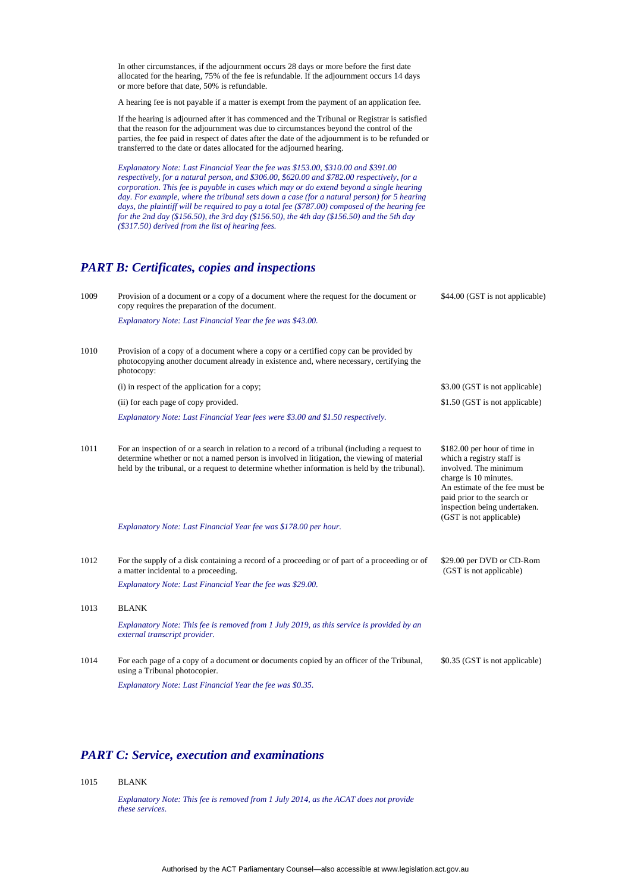In other circumstances, if the adjournment occurs 28 days or more before the first date allocated for the hearing, 75% of the fee is refundable. If the adjournment occurs 14 days or more before that date, 50% is refundable.

A hearing fee is not payable if a matter is exempt from the payment of an application fee.

If the hearing is adjourned after it has commenced and the Tribunal or Registrar is satisfied that the reason for the adjournment was due to circumstances beyond the control of the parties, the fee paid in respect of dates after the date of the adjournment is to be refunded or transferred to the date or dates allocated for the adjourned hearing.

*Explanatory Note: Last Financial Year the fee was \$153.00, \$310.00 and \$391.00 respectively, for a natural person, and \$306.00, \$620.00 and \$782.00 respectively, for a corporation. This fee is payable in cases which may or do extend beyond a single hearing*  day. For example, where the tribunal sets down a case (for a natural person) for 5 hearing *days, the plaintiff will be required to pay a total fee (\$787.00) composed of the hearing fee for the 2nd day (\$156.50), the 3rd day (\$156.50), the 4th day (\$156.50) and the 5th day (\$317.50) derived from the list of hearing fees.*

#### *PART B: Certificates, copies and inspections*

| 1009 | Provision of a document or a copy of a document where the request for the document or<br>copy requires the preparation of the document.                                                                                                                                                                                                                           | \$44.00 (GST is not applicable)                                                                                                                                                                                                         |
|------|-------------------------------------------------------------------------------------------------------------------------------------------------------------------------------------------------------------------------------------------------------------------------------------------------------------------------------------------------------------------|-----------------------------------------------------------------------------------------------------------------------------------------------------------------------------------------------------------------------------------------|
|      | Explanatory Note: Last Financial Year the fee was \$43.00.                                                                                                                                                                                                                                                                                                        |                                                                                                                                                                                                                                         |
| 1010 | Provision of a copy of a document where a copy or a certified copy can be provided by<br>photocopying another document already in existence and, where necessary, certifying the<br>photocopy:                                                                                                                                                                    |                                                                                                                                                                                                                                         |
|      | (i) in respect of the application for a copy;                                                                                                                                                                                                                                                                                                                     | \$3.00 (GST is not applicable)                                                                                                                                                                                                          |
|      | (ii) for each page of copy provided.                                                                                                                                                                                                                                                                                                                              | \$1.50 (GST is not applicable)                                                                                                                                                                                                          |
|      | Explanatory Note: Last Financial Year fees were \$3.00 and \$1.50 respectively.                                                                                                                                                                                                                                                                                   |                                                                                                                                                                                                                                         |
| 1011 | For an inspection of or a search in relation to a record of a tribunal (including a request to<br>determine whether or not a named person is involved in litigation, the viewing of material<br>held by the tribunal, or a request to determine whether information is held by the tribunal).<br>Explanatory Note: Last Financial Year fee was \$178.00 per hour. | \$182.00 per hour of time in<br>which a registry staff is<br>involved. The minimum<br>charge is 10 minutes.<br>An estimate of the fee must be<br>paid prior to the search or<br>inspection being undertaken.<br>(GST is not applicable) |
| 1012 | For the supply of a disk containing a record of a proceeding or of part of a proceeding or of<br>a matter incidental to a proceeding.                                                                                                                                                                                                                             | \$29.00 per DVD or CD-Rom<br>(GST is not applicable)                                                                                                                                                                                    |
|      | Explanatory Note: Last Financial Year the fee was \$29.00.                                                                                                                                                                                                                                                                                                        |                                                                                                                                                                                                                                         |
| 1013 | <b>BLANK</b>                                                                                                                                                                                                                                                                                                                                                      |                                                                                                                                                                                                                                         |
|      | Explanatory Note: This fee is removed from 1 July 2019, as this service is provided by an<br>external transcript provider.                                                                                                                                                                                                                                        |                                                                                                                                                                                                                                         |
| 1014 | For each page of a copy of a document or documents copied by an officer of the Tribunal,<br>using a Tribunal photocopier.                                                                                                                                                                                                                                         | \$0.35 (GST is not applicable)                                                                                                                                                                                                          |
|      | Explanatory Note: Last Financial Year the fee was \$0.35.                                                                                                                                                                                                                                                                                                         |                                                                                                                                                                                                                                         |

#### *PART C: Service, execution and examinations*

1015 BLANK

*Explanatory Note: This fee is removed from 1 July 2014, as the ACAT does not provide these services.*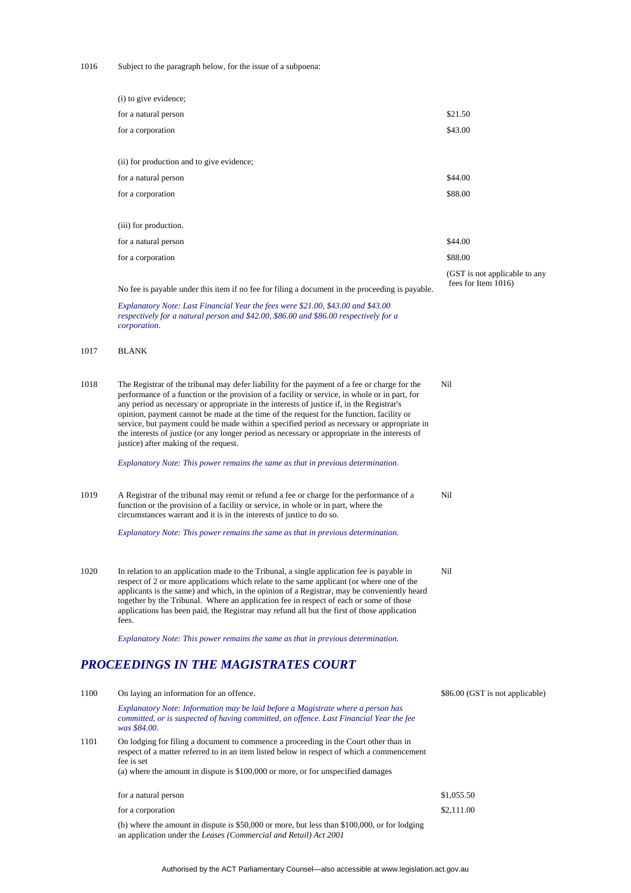1016 Subject to the paragraph below, for the issue of a subpoena:

|      | (i) to give evidence;                                                                                                                                                                                                                                                                                                                                                                                                                                                                                                                                                                                                            |                                                      |
|------|----------------------------------------------------------------------------------------------------------------------------------------------------------------------------------------------------------------------------------------------------------------------------------------------------------------------------------------------------------------------------------------------------------------------------------------------------------------------------------------------------------------------------------------------------------------------------------------------------------------------------------|------------------------------------------------------|
|      | for a natural person                                                                                                                                                                                                                                                                                                                                                                                                                                                                                                                                                                                                             | \$21.50                                              |
|      | for a corporation                                                                                                                                                                                                                                                                                                                                                                                                                                                                                                                                                                                                                | \$43.00                                              |
|      | (ii) for production and to give evidence;                                                                                                                                                                                                                                                                                                                                                                                                                                                                                                                                                                                        |                                                      |
|      | for a natural person                                                                                                                                                                                                                                                                                                                                                                                                                                                                                                                                                                                                             | \$44.00                                              |
|      | for a corporation                                                                                                                                                                                                                                                                                                                                                                                                                                                                                                                                                                                                                | \$88.00                                              |
|      | (iii) for production.                                                                                                                                                                                                                                                                                                                                                                                                                                                                                                                                                                                                            |                                                      |
|      | for a natural person                                                                                                                                                                                                                                                                                                                                                                                                                                                                                                                                                                                                             | \$44.00                                              |
|      | for a corporation                                                                                                                                                                                                                                                                                                                                                                                                                                                                                                                                                                                                                | \$88.00                                              |
|      | No fee is payable under this item if no fee for filing a document in the proceeding is payable.                                                                                                                                                                                                                                                                                                                                                                                                                                                                                                                                  | (GST is not applicable to any<br>fees for Item 1016) |
|      | Explanatory Note: Last Financial Year the fees were \$21.00, \$43.00 and \$43.00<br>respectively for a natural person and \$42.00, \$86.00 and \$86.00 respectively for a<br>corporation.                                                                                                                                                                                                                                                                                                                                                                                                                                        |                                                      |
| 1017 | <b>BLANK</b>                                                                                                                                                                                                                                                                                                                                                                                                                                                                                                                                                                                                                     |                                                      |
| 1018 | The Registrar of the tribunal may defer liability for the payment of a fee or charge for the<br>performance of a function or the provision of a facility or service, in whole or in part, for<br>any period as necessary or appropriate in the interests of justice if, in the Registrar's<br>opinion, payment cannot be made at the time of the request for the function, facility or<br>service, but payment could be made within a specified period as necessary or appropriate in<br>the interests of justice (or any longer period as necessary or appropriate in the interests of<br>justice) after making of the request. | Nil                                                  |
|      | Explanatory Note: This power remains the same as that in previous determination.                                                                                                                                                                                                                                                                                                                                                                                                                                                                                                                                                 |                                                      |
| 1019 | A Registrar of the tribunal may remit or refund a fee or charge for the performance of a<br>function or the provision of a facility or service, in whole or in part, where the<br>circumstances warrant and it is in the interests of justice to do so.                                                                                                                                                                                                                                                                                                                                                                          | Nil                                                  |
|      | Explanatory Note: This power remains the same as that in previous determination.                                                                                                                                                                                                                                                                                                                                                                                                                                                                                                                                                 |                                                      |
| 1020 | In relation to an application made to the Tribunal, a single application fee is payable in<br>respect of 2 or more applications which relate to the same applicant (or where one of the<br>applicants is the same) and which, in the opinion of a Registrar, may be conveniently heard<br>together by the Tribunal. Where an application fee in respect of each or some of those<br>applications has been paid, the Registrar may refund all but the first of those application<br>fees.                                                                                                                                         | Nil                                                  |
|      | Explanatory Note: This power remains the same as that in previous determination.                                                                                                                                                                                                                                                                                                                                                                                                                                                                                                                                                 |                                                      |
|      | PROCEEDINGS IN THE MAGISTRATES COURT                                                                                                                                                                                                                                                                                                                                                                                                                                                                                                                                                                                             |                                                      |
| 1100 | On laying an information for an offence.                                                                                                                                                                                                                                                                                                                                                                                                                                                                                                                                                                                         | \$86.00 (GST is not applicable)                      |
|      | Explanatory Note: Information may be laid before a Magistrate where a person has<br>committed, or is suspected of having committed, an offence. Last Financial Year the fee<br>was \$84.00.                                                                                                                                                                                                                                                                                                                                                                                                                                      |                                                      |
| 1101 | On lodging for filing a document to commence a proceeding in the Court other than in<br>respect of a matter referred to in an item listed below in respect of which a commencement<br>fee is set<br>(a) where the amount in dispute is \$100,000 or more, or for unspecified damages                                                                                                                                                                                                                                                                                                                                             |                                                      |
|      |                                                                                                                                                                                                                                                                                                                                                                                                                                                                                                                                                                                                                                  |                                                      |
|      | for a natural person                                                                                                                                                                                                                                                                                                                                                                                                                                                                                                                                                                                                             | \$1,055.50<br>\$2,111.00                             |
|      | for a corporation                                                                                                                                                                                                                                                                                                                                                                                                                                                                                                                                                                                                                |                                                      |

(b) where the amount in dispute is \$50,000 or more, but less than \$100,000, or for lodging an application under the *Leases (Commercial and Retail) Act 2001*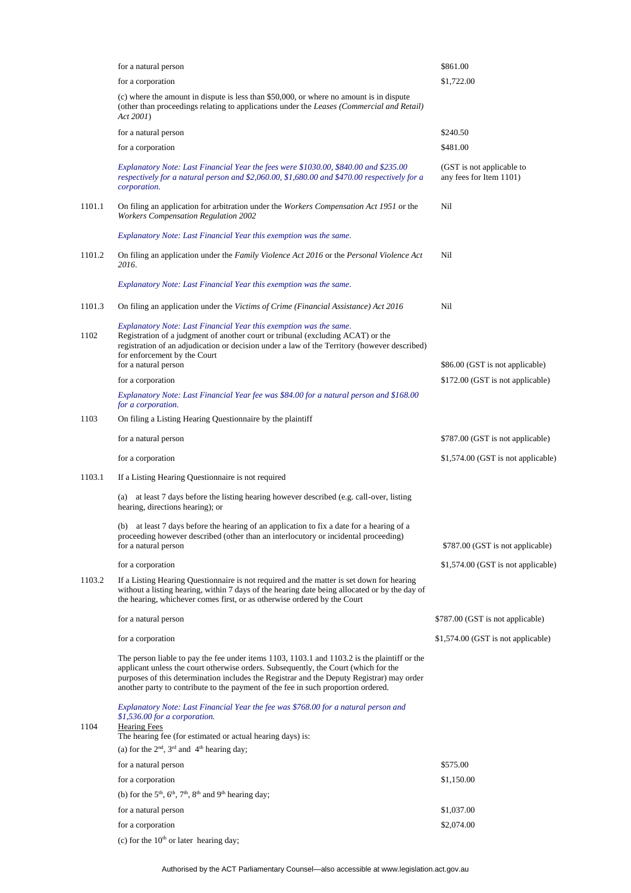|        | for a natural person                                                                                                                                                                                                                                                                                                                                                  | \$861.00                                             |
|--------|-----------------------------------------------------------------------------------------------------------------------------------------------------------------------------------------------------------------------------------------------------------------------------------------------------------------------------------------------------------------------|------------------------------------------------------|
|        | for a corporation                                                                                                                                                                                                                                                                                                                                                     | \$1,722.00                                           |
|        | (c) where the amount in dispute is less than \$50,000, or where no amount is in dispute<br>(other than proceedings relating to applications under the Leases (Commercial and Retail)<br>Act 2001)                                                                                                                                                                     |                                                      |
|        | for a natural person                                                                                                                                                                                                                                                                                                                                                  | \$240.50                                             |
|        | for a corporation                                                                                                                                                                                                                                                                                                                                                     | \$481.00                                             |
|        | Explanatory Note: Last Financial Year the fees were \$1030.00, \$840.00 and \$235.00<br>respectively for a natural person and \$2,060.00, \$1,680.00 and \$470.00 respectively for a<br>corporation.                                                                                                                                                                  | (GST is not applicable to<br>any fees for Item 1101) |
| 1101.1 | On filing an application for arbitration under the <i>Workers Compensation Act 1951</i> or the<br><b>Workers Compensation Regulation 2002</b>                                                                                                                                                                                                                         | Nil                                                  |
|        | Explanatory Note: Last Financial Year this exemption was the same.                                                                                                                                                                                                                                                                                                    |                                                      |
| 1101.2 | On filing an application under the Family Violence Act 2016 or the Personal Violence Act<br>2016.                                                                                                                                                                                                                                                                     | Nil                                                  |
|        | Explanatory Note: Last Financial Year this exemption was the same.                                                                                                                                                                                                                                                                                                    |                                                      |
| 1101.3 | On filing an application under the Victims of Crime (Financial Assistance) Act 2016                                                                                                                                                                                                                                                                                   | Nil                                                  |
| 1102   | Explanatory Note: Last Financial Year this exemption was the same.<br>Registration of a judgment of another court or tribunal (excluding ACAT) or the<br>registration of an adjudication or decision under a law of the Territory (however described)<br>for enforcement by the Court<br>for a natural person                                                         | \$86.00 (GST is not applicable)                      |
|        | for a corporation                                                                                                                                                                                                                                                                                                                                                     | \$172.00 (GST is not applicable)                     |
|        | Explanatory Note: Last Financial Year fee was \$84.00 for a natural person and \$168.00<br>for a corporation.                                                                                                                                                                                                                                                         |                                                      |
| 1103   | On filing a Listing Hearing Questionnaire by the plaintiff                                                                                                                                                                                                                                                                                                            |                                                      |
|        | for a natural person                                                                                                                                                                                                                                                                                                                                                  | \$787.00 (GST is not applicable)                     |
|        | for a corporation                                                                                                                                                                                                                                                                                                                                                     | \$1,574.00 (GST is not applicable)                   |
| 1103.1 | If a Listing Hearing Questionnaire is not required                                                                                                                                                                                                                                                                                                                    |                                                      |
|        | (a) at least 7 days before the listing hearing however described (e.g. call-over, listing<br>hearing, directions hearing); or                                                                                                                                                                                                                                         |                                                      |
|        | (b) at least 7 days before the hearing of an application to fix a date for a hearing of a<br>proceeding however described (other than an interlocutory or incidental proceeding)<br>for a natural person                                                                                                                                                              | \$787.00 (GST is not applicable)                     |
|        | for a corporation                                                                                                                                                                                                                                                                                                                                                     | \$1,574.00 (GST is not applicable)                   |
| 1103.2 | If a Listing Hearing Questionnaire is not required and the matter is set down for hearing<br>without a listing hearing, within 7 days of the hearing date being allocated or by the day of<br>the hearing, whichever comes first, or as otherwise ordered by the Court                                                                                                |                                                      |
|        | for a natural person                                                                                                                                                                                                                                                                                                                                                  | \$787.00 (GST is not applicable)                     |
|        | for a corporation                                                                                                                                                                                                                                                                                                                                                     | \$1,574.00 (GST is not applicable)                   |
|        | The person liable to pay the fee under items 1103, 1103.1 and 1103.2 is the plaintiff or the<br>applicant unless the court otherwise orders. Subsequently, the Court (which for the<br>purposes of this determination includes the Registrar and the Deputy Registrar) may order<br>another party to contribute to the payment of the fee in such proportion ordered. |                                                      |
| 1104   | Explanatory Note: Last Financial Year the fee was \$768.00 for a natural person and<br>\$1,536.00 for a corporation.<br><b>Hearing Fees</b><br>The hearing fee (for estimated or actual hearing days) is:<br>(a) for the $2nd$ , $3rd$ and $4th$ hearing day;                                                                                                         |                                                      |
|        | for a natural person                                                                                                                                                                                                                                                                                                                                                  | \$575.00                                             |
|        | for a corporation                                                                                                                                                                                                                                                                                                                                                     | \$1,150.00                                           |
|        | (b) for the $5th$ , $6th$ , $7th$ , $8th$ and $9th$ hearing day;                                                                                                                                                                                                                                                                                                      |                                                      |
|        | for a natural person                                                                                                                                                                                                                                                                                                                                                  | \$1,037.00                                           |
|        | for a corporation                                                                                                                                                                                                                                                                                                                                                     | \$2,074.00                                           |
|        | (c) for the $10th$ or later hearing day;                                                                                                                                                                                                                                                                                                                              |                                                      |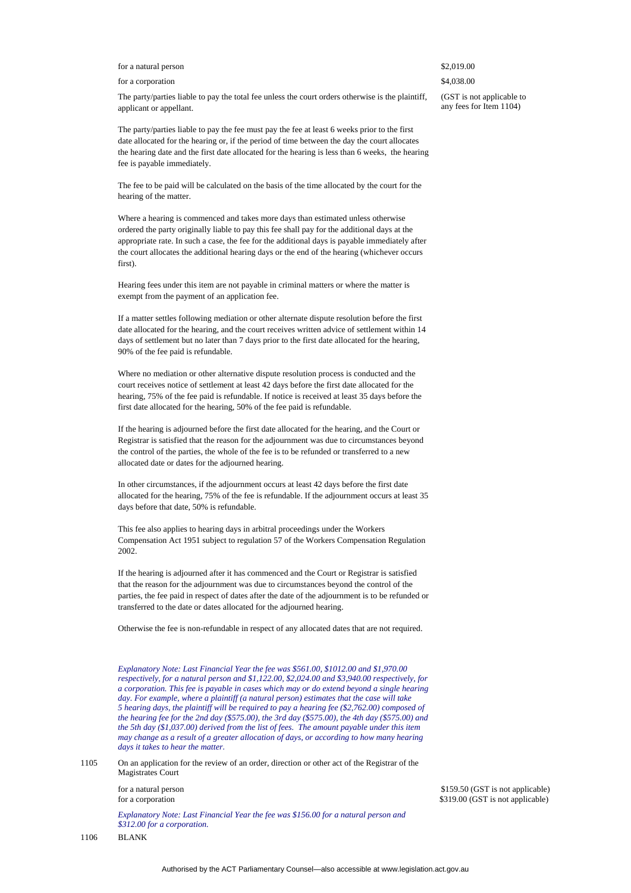#### for a natural person  $\$2.019.00$

#### for a corporation  $\frac{1}{2}$  a corporation  $\frac{1}{2}$  a corporation  $\frac{1}{2}$  a corporation

The party/parties liable to pay the total fee unless the court orders otherwise is the plaintiff, applicant or appellant.

The party/parties liable to pay the fee must pay the fee at least 6 weeks prior to the first date allocated for the hearing or, if the period of time between the day the court allocates the hearing date and the first date allocated for the hearing is less than 6 weeks, the hearing fee is payable immediately.

The fee to be paid will be calculated on the basis of the time allocated by the court for the hearing of the matter.

Where a hearing is commenced and takes more days than estimated unless otherwise ordered the party originally liable to pay this fee shall pay for the additional days at the appropriate rate. In such a case, the fee for the additional days is payable immediately after the court allocates the additional hearing days or the end of the hearing (whichever occurs first).

Hearing fees under this item are not payable in criminal matters or where the matter is exempt from the payment of an application fee.

If a matter settles following mediation or other alternate dispute resolution before the first date allocated for the hearing, and the court receives written advice of settlement within 14 days of settlement but no later than 7 days prior to the first date allocated for the hearing, 90% of the fee paid is refundable.

Where no mediation or other alternative dispute resolution process is conducted and the court receives notice of settlement at least 42 days before the first date allocated for the hearing, 75% of the fee paid is refundable. If notice is received at least 35 days before the first date allocated for the hearing, 50% of the fee paid is refundable.

If the hearing is adjourned before the first date allocated for the hearing, and the Court or Registrar is satisfied that the reason for the adjournment was due to circumstances beyond the control of the parties, the whole of the fee is to be refunded or transferred to a new allocated date or dates for the adjourned hearing.

In other circumstances, if the adjournment occurs at least 42 days before the first date allocated for the hearing, 75% of the fee is refundable. If the adjournment occurs at least 35 days before that date, 50% is refundable.

This fee also applies to hearing days in arbitral proceedings under the Workers Compensation Act 1951 subject to regulation 57 of the Workers Compensation Regulation 2002.

If the hearing is adjourned after it has commenced and the Court or Registrar is satisfied that the reason for the adjournment was due to circumstances beyond the control of the parties, the fee paid in respect of dates after the date of the adjournment is to be refunded or transferred to the date or dates allocated for the adjourned hearing.

Otherwise the fee is non-refundable in respect of any allocated dates that are not required.

*Explanatory Note: Last Financial Year the fee was \$561.00, \$1012.00 and \$1,970.00 respectively, for a natural person and \$1,122.00, \$2,024.00 and \$3,940.00 respectively, for a corporation. This fee is payable in cases which may or do extend beyond a single hearing day. For example, where a plaintiff (a natural person) estimates that the case will take 5 hearing days, the plaintiff will be required to pay a hearing fee (\$2,762.00) composed of the hearing fee for the 2nd day (\$575.00), the 3rd day (\$575.00), the 4th day (\$575.00) and the 5th day (\$1,037.00) derived from the list of fees. The amount payable under this item may change as a result of a greater allocation of days, or according to how many hearing days it takes to hear the matter.*

1105 On an application for the review of an order, direction or other act of the Registrar of the Magistrates Court

*Explanatory Note: Last Financial Year the fee was \$156.00 for a natural person and \$312.00 for a corporation.*

for a natural person  $$159.50 (GST is not applicable)$ for a corporation  $$319.00 (GST is not applicable)$ 

(GST is not applicable to any fees for Item 1104)

1106 BLANK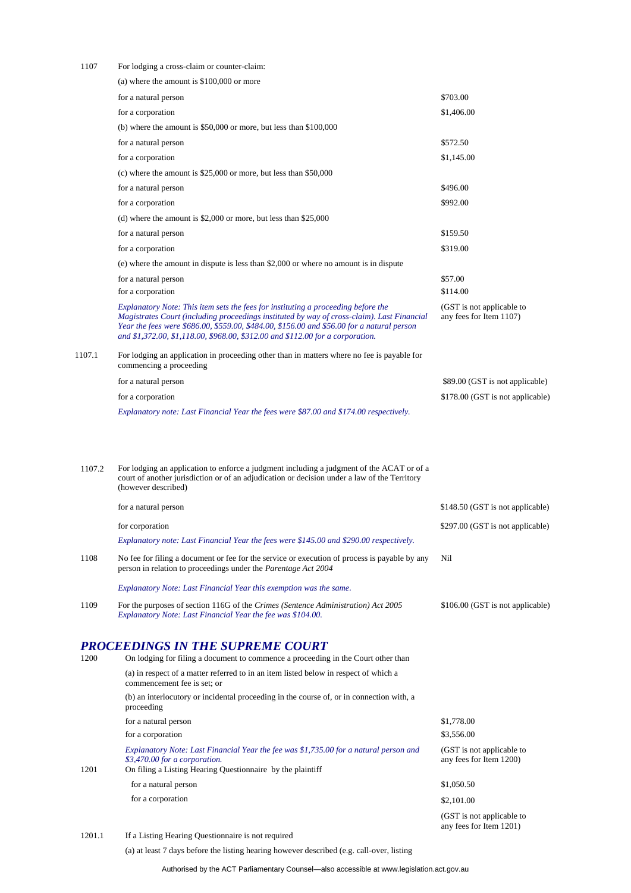| 1107   | For lodging a cross-claim or counter-claim:                                                                                                                                                                                                                                                                                                                     |                                                      |
|--------|-----------------------------------------------------------------------------------------------------------------------------------------------------------------------------------------------------------------------------------------------------------------------------------------------------------------------------------------------------------------|------------------------------------------------------|
|        | (a) where the amount is $$100,000$ or more                                                                                                                                                                                                                                                                                                                      |                                                      |
|        | for a natural person                                                                                                                                                                                                                                                                                                                                            | \$703.00                                             |
|        | for a corporation                                                                                                                                                                                                                                                                                                                                               | \$1,406.00                                           |
|        | (b) where the amount is $$50,000$ or more, but less than $$100,000$                                                                                                                                                                                                                                                                                             |                                                      |
|        | for a natural person                                                                                                                                                                                                                                                                                                                                            | \$572.50                                             |
|        | for a corporation                                                                                                                                                                                                                                                                                                                                               | \$1,145.00                                           |
|        | (c) where the amount is $$25,000$ or more, but less than $$50,000$                                                                                                                                                                                                                                                                                              |                                                      |
|        | for a natural person                                                                                                                                                                                                                                                                                                                                            | \$496.00                                             |
|        | for a corporation                                                                                                                                                                                                                                                                                                                                               | \$992.00                                             |
|        | (d) where the amount is $$2,000$ or more, but less than $$25,000$                                                                                                                                                                                                                                                                                               |                                                      |
|        | for a natural person                                                                                                                                                                                                                                                                                                                                            | \$159.50                                             |
|        | for a corporation                                                                                                                                                                                                                                                                                                                                               | \$319.00                                             |
|        | (e) where the amount in dispute is less than \$2,000 or where no amount is in dispute                                                                                                                                                                                                                                                                           |                                                      |
|        | for a natural person                                                                                                                                                                                                                                                                                                                                            | \$57.00                                              |
|        | for a corporation                                                                                                                                                                                                                                                                                                                                               | \$114.00                                             |
|        | Explanatory Note: This item sets the fees for instituting a proceeding before the<br>Magistrates Court (including proceedings instituted by way of cross-claim). Last Financial<br>Year the fees were \$686.00, \$559.00, \$484.00, \$156.00 and \$56.00 for a natural person<br>and \$1,372.00, \$1,118.00, \$968.00, \$312.00 and \$112.00 for a corporation. | (GST is not applicable to<br>any fees for Item 1107) |
| 1107.1 | For lodging an application in proceeding other than in matters where no fee is payable for<br>commencing a proceeding                                                                                                                                                                                                                                           |                                                      |
|        | for a natural person                                                                                                                                                                                                                                                                                                                                            | \$89.00 (GST is not applicable)                      |
|        | for a corporation                                                                                                                                                                                                                                                                                                                                               | \$178.00 (GST is not applicable)                     |
|        | Explanatory note: Last Financial Year the fees were \$87.00 and \$174.00 respectively.                                                                                                                                                                                                                                                                          |                                                      |
| 1107.2 | For lodging an application to enforce a judgment including a judgment of the ACAT or of a<br>court of another jurisdiction or of an adjudication or decision under a law of the Territory<br>(however described)                                                                                                                                                |                                                      |
|        | for a natural person                                                                                                                                                                                                                                                                                                                                            | \$148.50 (GST is not applicable)                     |
|        | for corporation                                                                                                                                                                                                                                                                                                                                                 | \$297.00 (GST is not applicable)                     |
|        | Explanatory note: Last Financial Year the fees were \$145.00 and \$290.00 respectively.                                                                                                                                                                                                                                                                         |                                                      |
| 1108   | No fee for filing a document or fee for the service or execution of process is payable by any<br>person in relation to proceedings under the <i>Parentage Act</i> 2004                                                                                                                                                                                          | Nil                                                  |
|        | Explanatory Note: Last Financial Year this exemption was the same.                                                                                                                                                                                                                                                                                              |                                                      |
| 1109   | For the purposes of section 116G of the <i>Crimes</i> ( <i>Sentence Administration</i> ) Act 2005<br>Explanatory Note: Last Financial Year the fee was \$104.00.                                                                                                                                                                                                | \$106.00 (GST is not applicable)                     |
| 1200   | <b>PROCEEDINGS IN THE SUPREME COURT</b><br>On lodging for filing a document to commence a proceeding in the Court other than                                                                                                                                                                                                                                    |                                                      |
|        | (a) in respect of a matter referred to in an item listed below in respect of which a<br>commencement fee is set; or                                                                                                                                                                                                                                             |                                                      |
|        | (b) an interlocutory or incidental proceeding in the course of, or in connection with, a<br>proceeding                                                                                                                                                                                                                                                          |                                                      |
|        | for a natural person                                                                                                                                                                                                                                                                                                                                            | \$1,778.00                                           |
|        | for a corporation                                                                                                                                                                                                                                                                                                                                               | \$3,556.00                                           |
| 1201   | Explanatory Note: Last Financial Year the fee was \$1,735.00 for a natural person and<br>\$3,470.00 for a corporation.<br>On filing a Listing Hearing Questionnaire by the plaintiff                                                                                                                                                                            | (GST is not applicable to<br>any fees for Item 1200) |
|        | for a natural person                                                                                                                                                                                                                                                                                                                                            | \$1,050.50                                           |
|        | for a corporation                                                                                                                                                                                                                                                                                                                                               | \$2,101.00                                           |
|        |                                                                                                                                                                                                                                                                                                                                                                 | (GST is not applicable to<br>any fees for Item 1201) |

1201.1 If a Listing Hearing Questionnaire is not required

(a) at least 7 days before the listing hearing however described (e.g. call-over, listing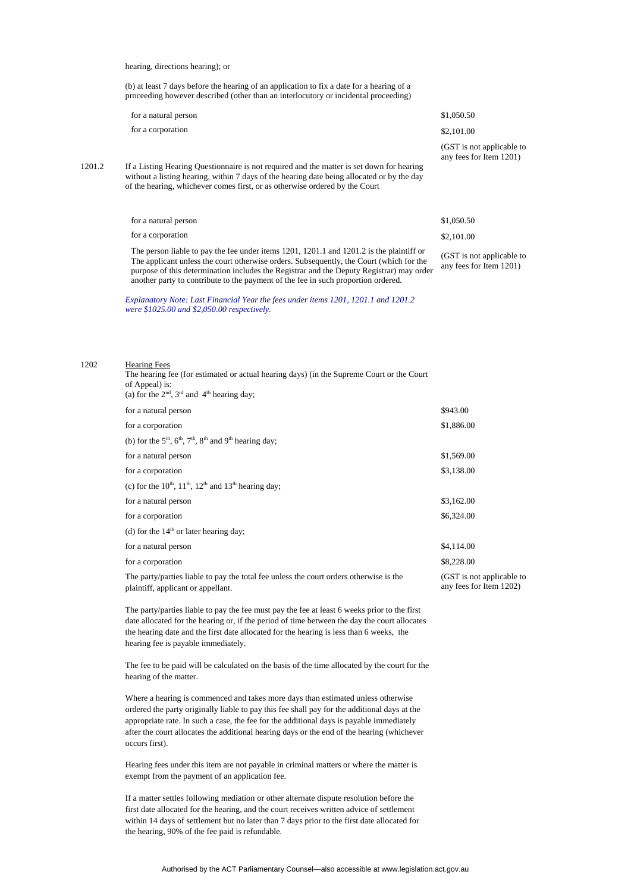hearing, directions hearing); or

(b) at least 7 days before the hearing of an application to fix a date for a hearing of a proceeding however described (other than an interlocutory or incidental proceeding)

| for a natural person | \$1,050.50 |
|----------------------|------------|
| for a corporation    | \$2,101.00 |

(GST is not applicable to any fees for Item 1201)

1201.2 If a Listing Hearing Questionnaire is not required and the matter is set down for hearing without a listing hearing, within 7 days of the hearing date being allocated or by the day of the hearing, whichever comes first, or as otherwise ordered by the Court

| for a natural person                                                                                                                                                                                                                                                                | \$1,050.50                                           |
|-------------------------------------------------------------------------------------------------------------------------------------------------------------------------------------------------------------------------------------------------------------------------------------|------------------------------------------------------|
| for a corporation                                                                                                                                                                                                                                                                   | \$2,101.00                                           |
| The person liable to pay the fee under items $1201, 1201.1$ and $1201.2$ is the plaintiff or<br>The applicant unless the court otherwise orders. Subsequently, the Court (which for the<br>purpose of this determination includes the Registrar and the Deputy Registrar) may order | (GST is not applicable to<br>any fees for Item 1201) |

*Explanatory Note: Last Financial Year the fees under items 1201, 1201.1 and 1201.2 were \$1025.00 and \$2,050.00 respectively.*

another party to contribute to the payment of the fee in such proportion ordered.

#### 1202 Hearing Fees

The hearing fee (for estimated or actual hearing days) (in the Supreme Court or the Court of Appeal) is: (a) for the  $2<sup>nd</sup>$ ,  $3<sup>rd</sup>$  and  $4<sup>th</sup>$  hearing day;

| for a natural person                                                                                                         | \$943.00                                             |
|------------------------------------------------------------------------------------------------------------------------------|------------------------------------------------------|
| for a corporation                                                                                                            | \$1,886.00                                           |
| (b) for the $5th$ , $6th$ , $7th$ , $8th$ and $9th$ hearing day;                                                             |                                                      |
| for a natural person                                                                                                         | \$1,569.00                                           |
| for a corporation                                                                                                            | \$3,138.00                                           |
| (c) for the $10^{th}$ , $11^{th}$ , $12^{th}$ and $13^{th}$ hearing day;                                                     |                                                      |
| for a natural person                                                                                                         | \$3,162.00                                           |
| for a corporation                                                                                                            | \$6,324.00                                           |
| (d) for the $14th$ or later hearing day;                                                                                     |                                                      |
| for a natural person                                                                                                         | \$4,114.00                                           |
| for a corporation                                                                                                            | \$8,228.00                                           |
| The party/parties liable to pay the total fee unless the court orders otherwise is the<br>plaintiff, applicant or appellant. | (GST is not applicable to<br>any fees for Item 1202) |

plaintiff, applicant or appellant.

The party/parties liable to pay the fee must pay the fee at least 6 weeks prior to the first date allocated for the hearing or, if the period of time between the day the court allocates the hearing date and the first date allocated for the hearing is less than 6 weeks, the hearing fee is payable immediately.

The fee to be paid will be calculated on the basis of the time allocated by the court for the hearing of the matter.

Where a hearing is commenced and takes more days than estimated unless otherwise ordered the party originally liable to pay this fee shall pay for the additional days at the appropriate rate. In such a case, the fee for the additional days is payable immediately after the court allocates the additional hearing days or the end of the hearing (whichever occurs first).

Hearing fees under this item are not payable in criminal matters or where the matter is exempt from the payment of an application fee.

If a matter settles following mediation or other alternate dispute resolution before the first date allocated for the hearing, and the court receives written advice of settlement within 14 days of settlement but no later than 7 days prior to the first date allocated for the hearing, 90% of the fee paid is refundable.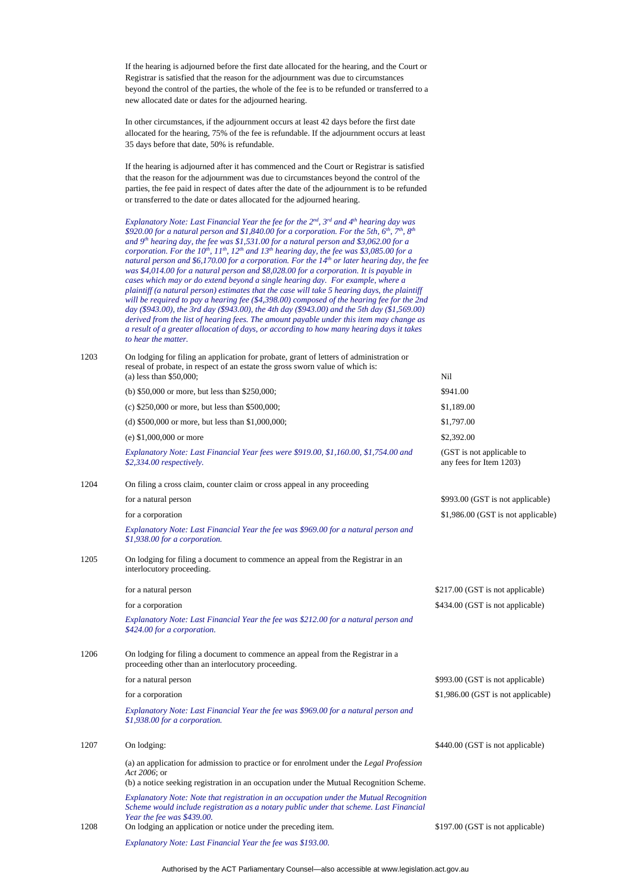If the hearing is adjourned before the first date allocated for the hearing, and the Court or Registrar is satisfied that the reason for the adjournment was due to circumstances beyond the control of the parties, the whole of the fee is to be refunded or transferred to a new allocated date or dates for the adjourned hearing.

In other circumstances, if the adjournment occurs at least 42 days before the first date allocated for the hearing, 75% of the fee is refundable. If the adjournment occurs at least 35 days before that date, 50% is refundable.

If the hearing is adjourned after it has commenced and the Court or Registrar is satisfied that the reason for the adjournment was due to circumstances beyond the control of the parties, the fee paid in respect of dates after the date of the adjournment is to be refunded or transferred to the date or dates allocated for the adjourned hearing.

*Explanatory Note: Last Financial Year the fee for the 2nd, 3rd and 4th hearing day was \$920.00 for a natural person and \$1,840.00 for a corporation. For the 5th, 6th, 7th, 8th and 9th hearing day, the fee was \$1,531.00 for a natural person and \$3,062.00 for a corporation. For the 10th, 11th, 12th and 13th hearing day, the fee was \$3,085.00 for a natural person and \$6,170.00 for a corporation. For the 14th or later hearing day, the fee was \$4,014.00 for a natural person and \$8,028.00 for a corporation. It is payable in cases which may or do extend beyond a single hearing day. For example, where a plaintiff (a natural person) estimates that the case will take 5 hearing days, the plaintiff will be required to pay a hearing fee (\$4,398.00) composed of the hearing fee for the 2nd day (\$943.00), the 3rd day (\$943.00), the 4th day (\$943.00) and the 5th day (\$1,569.00) derived from the list of hearing fees. The amount payable under this item may change as a result of a greater allocation of days, or according to how many hearing days it takes to hear the matter.*

1203 On lodging for filing an application for probate, grant of letters of administration or

|      | reseal of probate, in respect of an estate the gross sworn value of which is:<br>$(a)$ less than \$50,000;                                                                                                     | Nil                                                  |
|------|----------------------------------------------------------------------------------------------------------------------------------------------------------------------------------------------------------------|------------------------------------------------------|
|      | (b) \$50,000 or more, but less than \$250,000;                                                                                                                                                                 | \$941.00                                             |
|      | (c) $$250,000$ or more, but less than $$500,000$ ;                                                                                                                                                             | \$1,189.00                                           |
|      | (d) $$500,000$ or more, but less than $$1,000,000$ ;                                                                                                                                                           | \$1,797.00                                           |
|      | (e) $$1,000,000$ or more                                                                                                                                                                                       | \$2,392.00                                           |
|      | Explanatory Note: Last Financial Year fees were \$919.00, \$1,160.00, \$1,754.00 and<br>\$2,334.00 respectively.                                                                                               | (GST is not applicable to<br>any fees for Item 1203) |
| 1204 | On filing a cross claim, counter claim or cross appeal in any proceeding                                                                                                                                       |                                                      |
|      | for a natural person                                                                                                                                                                                           | \$993.00 (GST is not applicable)                     |
|      | for a corporation                                                                                                                                                                                              | \$1,986.00 (GST is not applicable)                   |
|      | Explanatory Note: Last Financial Year the fee was \$969.00 for a natural person and<br>\$1,938.00 for a corporation.                                                                                           |                                                      |
| 1205 | On lodging for filing a document to commence an appeal from the Registrar in an<br>interlocutory proceeding.                                                                                                   |                                                      |
|      | for a natural person                                                                                                                                                                                           | \$217.00 (GST is not applicable)                     |
|      | for a corporation                                                                                                                                                                                              | \$434.00 (GST is not applicable)                     |
|      | Explanatory Note: Last Financial Year the fee was \$212.00 for a natural person and<br>\$424.00 for a corporation.                                                                                             |                                                      |
| 1206 | On lodging for filing a document to commence an appeal from the Registrar in a<br>proceeding other than an interlocutory proceeding.                                                                           |                                                      |
|      | for a natural person                                                                                                                                                                                           | \$993.00 (GST is not applicable)                     |
|      | for a corporation                                                                                                                                                                                              | \$1,986.00 (GST is not applicable)                   |
|      | Explanatory Note: Last Financial Year the fee was \$969.00 for a natural person and<br>\$1,938.00 for a corporation.                                                                                           |                                                      |
| 1207 | On lodging:                                                                                                                                                                                                    | \$440.00 (GST is not applicable)                     |
|      | (a) an application for admission to practice or for enrolment under the <i>Legal Profession</i><br>Act 2006; or<br>(b) a notice seeking registration in an occupation under the Mutual Recognition Scheme.     |                                                      |
|      | Explanatory Note: Note that registration in an occupation under the Mutual Recognition<br>Scheme would include registration as a notary public under that scheme. Last Financial<br>Year the fee was \$439.00. |                                                      |
| 1208 | On lodging an application or notice under the preceding item.                                                                                                                                                  | \$197.00 (GST is not applicable)                     |
|      | Explanatory Note: Last Financial Year the fee was \$193.00.                                                                                                                                                    |                                                      |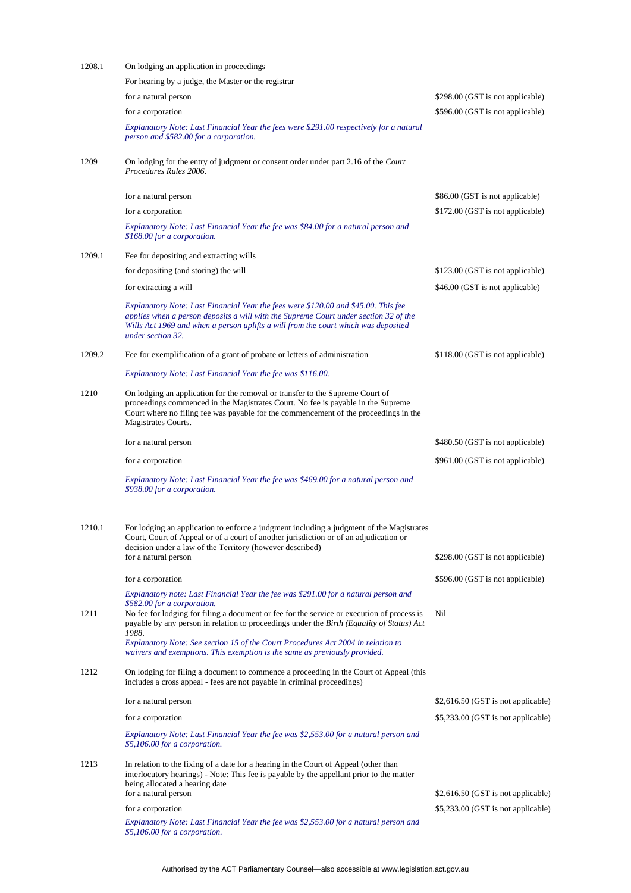| 1208.1 | On lodging an application in proceedings                                                                                                                                                                                                                                                                                                                                                          |                                    |
|--------|---------------------------------------------------------------------------------------------------------------------------------------------------------------------------------------------------------------------------------------------------------------------------------------------------------------------------------------------------------------------------------------------------|------------------------------------|
|        | For hearing by a judge, the Master or the registrar                                                                                                                                                                                                                                                                                                                                               |                                    |
|        | for a natural person                                                                                                                                                                                                                                                                                                                                                                              | \$298.00 (GST is not applicable)   |
|        | for a corporation                                                                                                                                                                                                                                                                                                                                                                                 | \$596.00 (GST is not applicable)   |
|        | Explanatory Note: Last Financial Year the fees were \$291.00 respectively for a natural<br>person and \$582.00 for a corporation.                                                                                                                                                                                                                                                                 |                                    |
| 1209   | On lodging for the entry of judgment or consent order under part 2.16 of the Court<br>Procedures Rules 2006.                                                                                                                                                                                                                                                                                      |                                    |
|        | for a natural person                                                                                                                                                                                                                                                                                                                                                                              | \$86.00 (GST is not applicable)    |
|        | for a corporation                                                                                                                                                                                                                                                                                                                                                                                 | \$172.00 (GST is not applicable)   |
|        | Explanatory Note: Last Financial Year the fee was \$84.00 for a natural person and<br>\$168.00 for a corporation.                                                                                                                                                                                                                                                                                 |                                    |
| 1209.1 | Fee for depositing and extracting wills                                                                                                                                                                                                                                                                                                                                                           |                                    |
|        | for depositing (and storing) the will                                                                                                                                                                                                                                                                                                                                                             | \$123.00 (GST is not applicable)   |
|        | for extracting a will                                                                                                                                                                                                                                                                                                                                                                             | \$46.00 (GST is not applicable)    |
|        | Explanatory Note: Last Financial Year the fees were \$120.00 and \$45.00. This fee<br>applies when a person deposits a will with the Supreme Court under section 32 of the<br>Wills Act 1969 and when a person uplifts a will from the court which was deposited<br>under section 32.                                                                                                             |                                    |
| 1209.2 | Fee for exemplification of a grant of probate or letters of administration                                                                                                                                                                                                                                                                                                                        | \$118.00 (GST is not applicable)   |
|        | Explanatory Note: Last Financial Year the fee was \$116.00.                                                                                                                                                                                                                                                                                                                                       |                                    |
| 1210   | On lodging an application for the removal or transfer to the Supreme Court of<br>proceedings commenced in the Magistrates Court. No fee is payable in the Supreme<br>Court where no filing fee was payable for the commencement of the proceedings in the<br>Magistrates Courts.                                                                                                                  |                                    |
|        | for a natural person                                                                                                                                                                                                                                                                                                                                                                              | \$480.50 (GST is not applicable)   |
|        | for a corporation                                                                                                                                                                                                                                                                                                                                                                                 | \$961.00 (GST is not applicable)   |
|        | Explanatory Note: Last Financial Year the fee was \$469.00 for a natural person and<br>\$938.00 for a corporation.                                                                                                                                                                                                                                                                                |                                    |
| 1210.1 | For lodging an application to enforce a judgment including a judgment of the Magistrates<br>Court, Court of Appeal or of a court of another jurisdiction or of an adjudication or<br>decision under a law of the Territory (however described)<br>for a natural person                                                                                                                            | \$298.00 (GST is not applicable)   |
|        | for a corporation                                                                                                                                                                                                                                                                                                                                                                                 | \$596.00 (GST is not applicable)   |
|        | Explanatory note: Last Financial Year the fee was \$291.00 for a natural person and                                                                                                                                                                                                                                                                                                               |                                    |
| 1211   | \$582.00 for a corporation.<br>No fee for lodging for filing a document or fee for the service or execution of process is<br>payable by any person in relation to proceedings under the Birth (Equality of Status) Act<br>1988.<br>Explanatory Note: See section 15 of the Court Procedures Act 2004 in relation to<br>waivers and exemptions. This exemption is the same as previously provided. | Nil                                |
| 1212   | On lodging for filing a document to commence a proceeding in the Court of Appeal (this<br>includes a cross appeal - fees are not payable in criminal proceedings)                                                                                                                                                                                                                                 |                                    |
|        | for a natural person                                                                                                                                                                                                                                                                                                                                                                              | \$2,616.50 (GST is not applicable) |
|        | for a corporation                                                                                                                                                                                                                                                                                                                                                                                 | \$5,233.00 (GST is not applicable) |
|        | Explanatory Note: Last Financial Year the fee was \$2,553.00 for a natural person and<br>\$5,106.00 for a corporation.                                                                                                                                                                                                                                                                            |                                    |
| 1213   | In relation to the fixing of a date for a hearing in the Court of Appeal (other than<br>interlocutory hearings) - Note: This fee is payable by the appellant prior to the matter<br>being allocated a hearing date<br>for a natural person                                                                                                                                                        | \$2,616.50 (GST is not applicable) |
|        | for a corporation                                                                                                                                                                                                                                                                                                                                                                                 | \$5,233.00 (GST is not applicable) |
|        | Explanatory Note: Last Financial Year the fee was \$2,553.00 for a natural person and<br>\$5,106.00 for a corporation.                                                                                                                                                                                                                                                                            |                                    |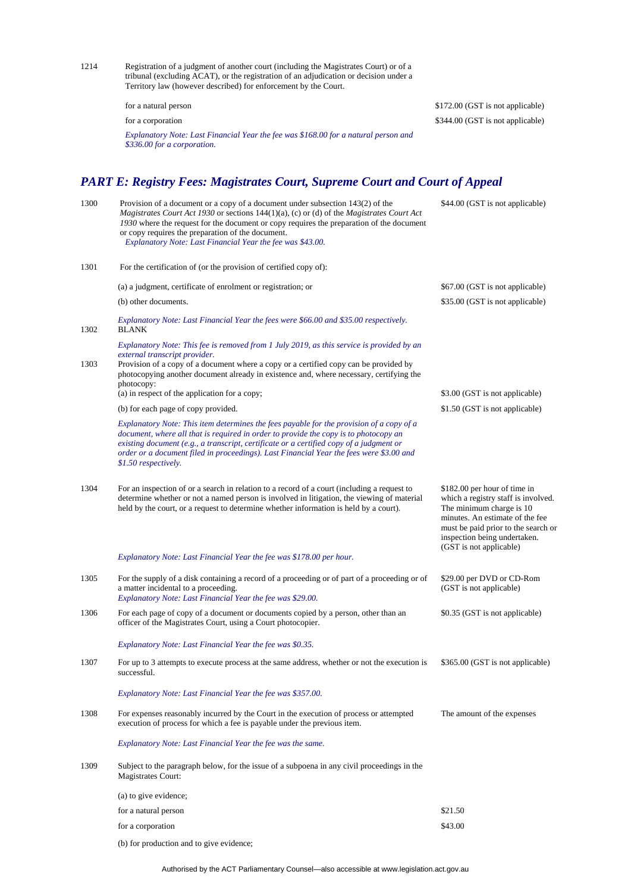1214 Registration of a judgment of another court (including the Magistrates Court) or of a tribunal (excluding ACAT), or the registration of an adjudication or decision under a Territory law (however described) for enforcement by the Court.

*Explanatory Note: Last Financial Year the fee was \$168.00 for a natural person and \$336.00 for a corporation.*

for a natural person \$172.00 (GST is not applicable) for a corporation \$344.00 (GST is not applicable)

# *PART E: Registry Fees: Magistrates Court, Supreme Court and Court of Appeal*

| 1300 | Provision of a document or a copy of a document under subsection 143(2) of the<br><i>Magistrates Court Act 1930</i> or sections $144(1)(a)$ , (c) or (d) of the <i>Magistrates Court Act</i><br>1930 where the request for the document or copy requires the preparation of the document<br>or copy requires the preparation of the document.<br>Explanatory Note: Last Financial Year the fee was \$43.00. | \$44.00 (GST is not applicable)                                                                                                                                                                                                      |
|------|-------------------------------------------------------------------------------------------------------------------------------------------------------------------------------------------------------------------------------------------------------------------------------------------------------------------------------------------------------------------------------------------------------------|--------------------------------------------------------------------------------------------------------------------------------------------------------------------------------------------------------------------------------------|
| 1301 | For the certification of (or the provision of certified copy of):                                                                                                                                                                                                                                                                                                                                           |                                                                                                                                                                                                                                      |
|      | (a) a judgment, certificate of enrolment or registration; or                                                                                                                                                                                                                                                                                                                                                | \$67.00 (GST is not applicable)                                                                                                                                                                                                      |
|      | (b) other documents.                                                                                                                                                                                                                                                                                                                                                                                        | \$35.00 (GST is not applicable)                                                                                                                                                                                                      |
| 1302 | Explanatory Note: Last Financial Year the fees were \$66.00 and \$35.00 respectively.<br><b>BLANK</b>                                                                                                                                                                                                                                                                                                       |                                                                                                                                                                                                                                      |
| 1303 | Explanatory Note: This fee is removed from 1 July 2019, as this service is provided by an<br>external transcript provider.<br>Provision of a copy of a document where a copy or a certified copy can be provided by<br>photocopying another document already in existence and, where necessary, certifying the<br>photocopy:                                                                                |                                                                                                                                                                                                                                      |
|      | (a) in respect of the application for a copy;                                                                                                                                                                                                                                                                                                                                                               | \$3.00 (GST is not applicable)                                                                                                                                                                                                       |
|      | (b) for each page of copy provided.                                                                                                                                                                                                                                                                                                                                                                         | \$1.50 (GST is not applicable)                                                                                                                                                                                                       |
|      | Explanatory Note: This item determines the fees payable for the provision of a copy of a<br>document, where all that is required in order to provide the copy is to photocopy an<br>existing document (e.g., a transcript, certificate or a certified copy of a judgment or<br>order or a document filed in proceedings). Last Financial Year the fees were \$3.00 and<br>\$1.50 respectively.              |                                                                                                                                                                                                                                      |
| 1304 | For an inspection of or a search in relation to a record of a court (including a request to<br>determine whether or not a named person is involved in litigation, the viewing of material<br>held by the court, or a request to determine whether information is held by a court).                                                                                                                          | \$182.00 per hour of time in<br>which a registry staff is involved.<br>The minimum charge is 10<br>minutes. An estimate of the fee<br>must be paid prior to the search or<br>inspection being undertaken.<br>(GST is not applicable) |
|      | Explanatory Note: Last Financial Year the fee was \$178.00 per hour.                                                                                                                                                                                                                                                                                                                                        |                                                                                                                                                                                                                                      |
| 1305 | For the supply of a disk containing a record of a proceeding or of part of a proceeding or of<br>a matter incidental to a proceeding.<br>Explanatory Note: Last Financial Year the fee was \$29.00.                                                                                                                                                                                                         | \$29.00 per DVD or CD-Rom<br>(GST is not applicable)                                                                                                                                                                                 |
| 1306 | For each page of copy of a document or documents copied by a person, other than an<br>officer of the Magistrates Court, using a Court photocopier.                                                                                                                                                                                                                                                          | \$0.35 (GST is not applicable)                                                                                                                                                                                                       |
|      | Explanatory Note: Last Financial Year the fee was \$0.35.                                                                                                                                                                                                                                                                                                                                                   |                                                                                                                                                                                                                                      |
| 1307 | For up to 3 attempts to execute process at the same address, whether or not the execution is<br>successful.                                                                                                                                                                                                                                                                                                 | \$365.00 (GST is not applicable)                                                                                                                                                                                                     |
|      | Explanatory Note: Last Financial Year the fee was \$357.00.                                                                                                                                                                                                                                                                                                                                                 |                                                                                                                                                                                                                                      |
| 1308 | For expenses reasonably incurred by the Court in the execution of process or attempted<br>execution of process for which a fee is payable under the previous item.                                                                                                                                                                                                                                          | The amount of the expenses                                                                                                                                                                                                           |
|      | Explanatory Note: Last Financial Year the fee was the same.                                                                                                                                                                                                                                                                                                                                                 |                                                                                                                                                                                                                                      |
| 1309 | Subject to the paragraph below, for the issue of a subpoena in any civil proceedings in the<br><b>Magistrates Court:</b>                                                                                                                                                                                                                                                                                    |                                                                                                                                                                                                                                      |
|      | (a) to give evidence;                                                                                                                                                                                                                                                                                                                                                                                       |                                                                                                                                                                                                                                      |
|      | for a natural person                                                                                                                                                                                                                                                                                                                                                                                        | \$21.50                                                                                                                                                                                                                              |
|      | for a corporation                                                                                                                                                                                                                                                                                                                                                                                           | \$43.00                                                                                                                                                                                                                              |

(b) for production and to give evidence;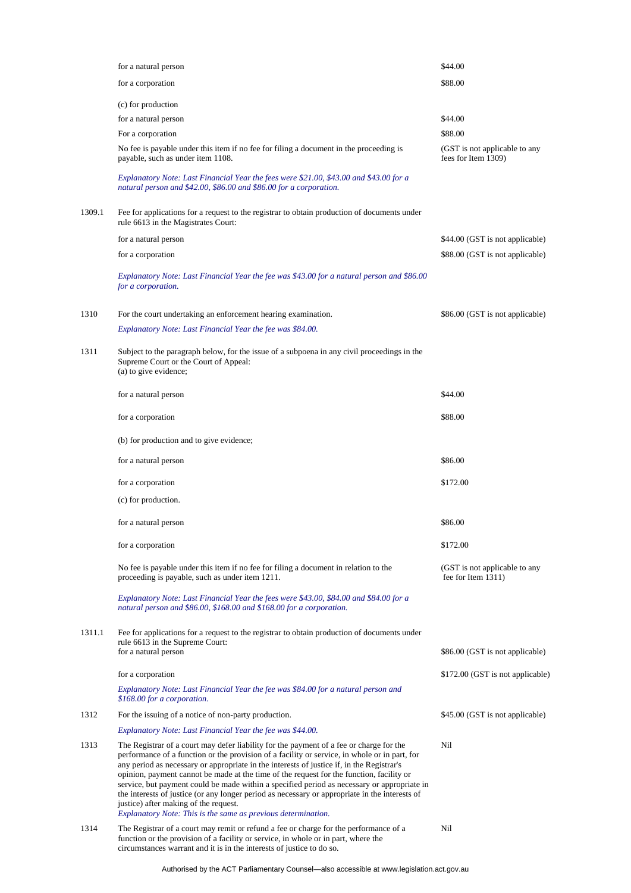|        | for a natural person                                                                                                                                                                                                                                                                                                                                                                                                                                                                                                                                                                                                                                                                         | \$44.00                                              |
|--------|----------------------------------------------------------------------------------------------------------------------------------------------------------------------------------------------------------------------------------------------------------------------------------------------------------------------------------------------------------------------------------------------------------------------------------------------------------------------------------------------------------------------------------------------------------------------------------------------------------------------------------------------------------------------------------------------|------------------------------------------------------|
|        | for a corporation                                                                                                                                                                                                                                                                                                                                                                                                                                                                                                                                                                                                                                                                            | \$88.00                                              |
|        | (c) for production                                                                                                                                                                                                                                                                                                                                                                                                                                                                                                                                                                                                                                                                           |                                                      |
|        | for a natural person                                                                                                                                                                                                                                                                                                                                                                                                                                                                                                                                                                                                                                                                         | \$44.00                                              |
|        | For a corporation                                                                                                                                                                                                                                                                                                                                                                                                                                                                                                                                                                                                                                                                            | \$88.00                                              |
|        | No fee is payable under this item if no fee for filing a document in the proceeding is<br>payable, such as under item 1108.                                                                                                                                                                                                                                                                                                                                                                                                                                                                                                                                                                  | (GST is not applicable to any<br>fees for Item 1309) |
|        | Explanatory Note: Last Financial Year the fees were \$21.00, \$43.00 and \$43.00 for a<br>natural person and \$42.00, \$86.00 and \$86.00 for a corporation.                                                                                                                                                                                                                                                                                                                                                                                                                                                                                                                                 |                                                      |
| 1309.1 | Fee for applications for a request to the registrar to obtain production of documents under<br>rule 6613 in the Magistrates Court:                                                                                                                                                                                                                                                                                                                                                                                                                                                                                                                                                           |                                                      |
|        | for a natural person                                                                                                                                                                                                                                                                                                                                                                                                                                                                                                                                                                                                                                                                         | \$44.00 (GST is not applicable)                      |
|        | for a corporation                                                                                                                                                                                                                                                                                                                                                                                                                                                                                                                                                                                                                                                                            | \$88.00 (GST is not applicable)                      |
|        | Explanatory Note: Last Financial Year the fee was \$43.00 for a natural person and \$86.00<br>for a corporation.                                                                                                                                                                                                                                                                                                                                                                                                                                                                                                                                                                             |                                                      |
| 1310   | For the court undertaking an enforcement hearing examination.<br>Explanatory Note: Last Financial Year the fee was \$84.00.                                                                                                                                                                                                                                                                                                                                                                                                                                                                                                                                                                  | \$86.00 (GST is not applicable)                      |
| 1311   | Subject to the paragraph below, for the issue of a subpoena in any civil proceedings in the<br>Supreme Court or the Court of Appeal:<br>(a) to give evidence;                                                                                                                                                                                                                                                                                                                                                                                                                                                                                                                                |                                                      |
|        | for a natural person                                                                                                                                                                                                                                                                                                                                                                                                                                                                                                                                                                                                                                                                         | \$44.00                                              |
|        | for a corporation                                                                                                                                                                                                                                                                                                                                                                                                                                                                                                                                                                                                                                                                            | \$88.00                                              |
|        | (b) for production and to give evidence;                                                                                                                                                                                                                                                                                                                                                                                                                                                                                                                                                                                                                                                     |                                                      |
|        | for a natural person                                                                                                                                                                                                                                                                                                                                                                                                                                                                                                                                                                                                                                                                         | \$86.00                                              |
|        | for a corporation                                                                                                                                                                                                                                                                                                                                                                                                                                                                                                                                                                                                                                                                            | \$172.00                                             |
|        | (c) for production.                                                                                                                                                                                                                                                                                                                                                                                                                                                                                                                                                                                                                                                                          |                                                      |
|        | for a natural person                                                                                                                                                                                                                                                                                                                                                                                                                                                                                                                                                                                                                                                                         | \$86.00                                              |
|        | for a corporation                                                                                                                                                                                                                                                                                                                                                                                                                                                                                                                                                                                                                                                                            | \$172.00                                             |
|        | No fee is payable under this item if no fee for filing a document in relation to the<br>proceeding is payable, such as under item 1211.                                                                                                                                                                                                                                                                                                                                                                                                                                                                                                                                                      | (GST is not applicable to any<br>fee for Item 1311)  |
|        | Explanatory Note: Last Financial Year the fees were \$43.00, \$84.00 and \$84.00 for a<br>natural person and \$86.00, \$168.00 and \$168.00 for a corporation.                                                                                                                                                                                                                                                                                                                                                                                                                                                                                                                               |                                                      |
| 1311.1 | Fee for applications for a request to the registrar to obtain production of documents under<br>rule 6613 in the Supreme Court:<br>for a natural person                                                                                                                                                                                                                                                                                                                                                                                                                                                                                                                                       | \$86.00 (GST is not applicable)                      |
|        | for a corporation                                                                                                                                                                                                                                                                                                                                                                                                                                                                                                                                                                                                                                                                            | \$172.00 (GST is not applicable)                     |
|        | Explanatory Note: Last Financial Year the fee was \$84.00 for a natural person and<br>\$168.00 for a corporation.                                                                                                                                                                                                                                                                                                                                                                                                                                                                                                                                                                            |                                                      |
| 1312   | For the issuing of a notice of non-party production.                                                                                                                                                                                                                                                                                                                                                                                                                                                                                                                                                                                                                                         | \$45.00 (GST is not applicable)                      |
|        | Explanatory Note: Last Financial Year the fee was \$44.00.                                                                                                                                                                                                                                                                                                                                                                                                                                                                                                                                                                                                                                   |                                                      |
| 1313   | The Registrar of a court may defer liability for the payment of a fee or charge for the<br>performance of a function or the provision of a facility or service, in whole or in part, for<br>any period as necessary or appropriate in the interests of justice if, in the Registrar's<br>opinion, payment cannot be made at the time of the request for the function, facility or<br>service, but payment could be made within a specified period as necessary or appropriate in<br>the interests of justice (or any longer period as necessary or appropriate in the interests of<br>justice) after making of the request.<br>Explanatory Note: This is the same as previous determination. | Nil                                                  |
| 1314   | The Registrar of a court may remit or refund a fee or charge for the performance of a<br>function or the provision of a facility or service, in whole or in part, where the<br>circumstances warrant and it is in the interests of justice to do so.                                                                                                                                                                                                                                                                                                                                                                                                                                         | Nil                                                  |